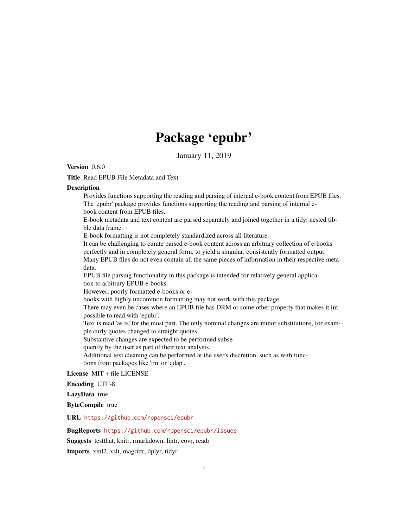# Package 'epubr'

January 11, 2019

Version 0.6.0

Title Read EPUB File Metadata and Text

# **Description**

Provides functions supporting the reading and parsing of internal e-book content from EPUB files. The 'epubr' package provides functions supporting the reading and parsing of internal ebook content from EPUB files.

E-book metadata and text content are parsed separately and joined together in a tidy, nested tibble data frame.

E-book formatting is not completely standardized across all literature.

It can be challenging to curate parsed e-book content across an arbitrary collection of e-books perfectly and in completely general form, to yield a singular, consistently formatted output. Many EPUB files do not even contain all the same pieces of information in their respective metadata.

EPUB file parsing functionality in this package is intended for relatively general application to arbitrary EPUB e-books.

However, poorly formatted e-books or e-

books with highly uncommon formatting may not work with this package.

There may even be cases where an EPUB file has DRM or some other property that makes it impossible to read with 'epubr'.

Text is read 'as is' for the most part. The only nominal changes are minor substitutions, for example curly quotes changed to straight quotes.

Substantive changes are expected to be performed subse-

quently by the user as part of their text analysis.

Additional text cleaning can be performed at the user's discretion, such as with functions from packages like 'tm' or 'qdap'.

License MIT + file LICENSE

Encoding UTF-8

LazyData true

ByteCompile true

URL <https://github.com/ropensci/epubr>

BugReports <https://github.com/ropensci/epubr/issues>

Suggests testthat, knitr, rmarkdown, lintr, covr, readr

Imports xml2, xslt, magrittr, dplyr, tidyr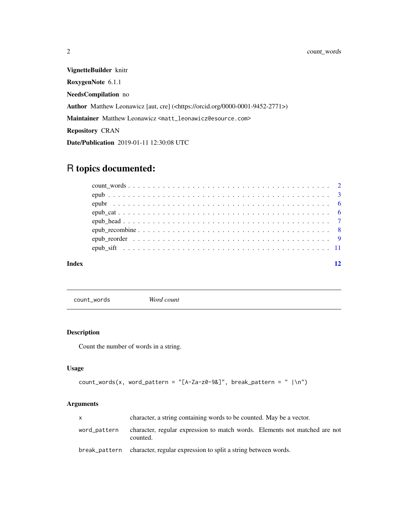<span id="page-1-0"></span>VignetteBuilder knitr RoxygenNote 6.1.1 NeedsCompilation no Author Matthew Leonawicz [aut, cre] (<https://orcid.org/0000-0001-9452-2771>) Maintainer Matthew Leonawicz <matt\_leonawicz@esource.com> Repository CRAN Date/Publication 2019-01-11 12:30:08 UTC

# R topics documented:

| Index |  |
|-------|--|
|       |  |
|       |  |
|       |  |
|       |  |
|       |  |
|       |  |
|       |  |
|       |  |

count\_words *Word count*

# Description

Count the number of words in a string.

# Usage

```
count_words(x, word_pattern = "[A-Za-z0-9&]", break_pattern = " |\n\ranglen")
```
# Arguments

|              | character, a string containing words to be counted. May be a vector.                   |  |
|--------------|----------------------------------------------------------------------------------------|--|
| word_pattern | character, regular expression to match words. Elements not matched are not<br>counted. |  |
|              | break_pattern character, regular expression to split a string between words.           |  |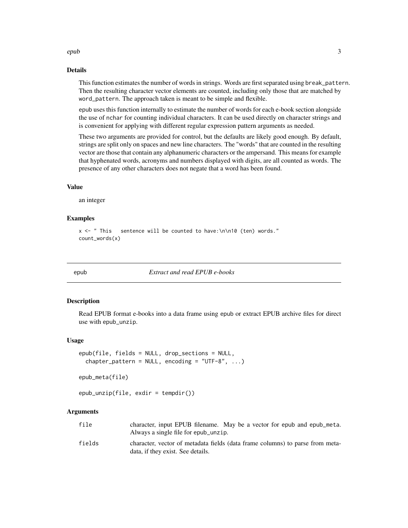# <span id="page-2-0"></span>epub 3

#### Details

This function estimates the number of words in strings. Words are first separated using break\_pattern. Then the resulting character vector elements are counted, including only those that are matched by word\_pattern. The approach taken is meant to be simple and flexible.

epub uses this function internally to estimate the number of words for each e-book section alongside the use of nchar for counting individual characters. It can be used directly on character strings and is convenient for applying with different regular expression pattern arguments as needed.

These two arguments are provided for control, but the defaults are likely good enough. By default, strings are split only on spaces and new line characters. The "words" that are counted in the resulting vector are those that contain any alphanumeric characters or the ampersand. This means for example that hyphenated words, acronyms and numbers displayed with digits, are all counted as words. The presence of any other characters does not negate that a word has been found.

# Value

an integer

# Examples

```
x <- " This sentence will be counted to have:\n\n10 (ten) words."
count_words(x)
```
<span id="page-2-1"></span>

epub *Extract and read EPUB e-books*

#### Description

Read EPUB format e-books into a data frame using epub or extract EPUB archive files for direct use with epub\_unzip.

#### Usage

```
epub(file, fields = NULL, drop_sections = NULL,
  chapter_pattern = NULL, encoding = "UTF-8", \ldots)
```

```
epub_meta(file)
```

```
epub\_unzip(file, exit = tempdir())
```
## Arguments

| file   | character, input EPUB filename. May be a vector for epub and epub_meta.       |
|--------|-------------------------------------------------------------------------------|
|        | Always a single file for epub_unzip.                                          |
| fialds | character, vector of metadata fields (data frame columns) to parse from meta- |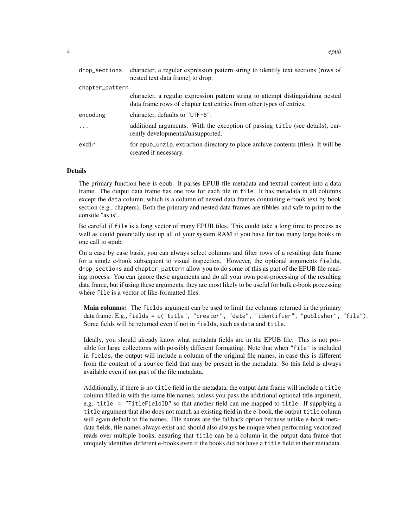| drop_sections   | character, a regular expression pattern string to identify text sections (rows of<br>nested text data frame) to drop.                                   |
|-----------------|---------------------------------------------------------------------------------------------------------------------------------------------------------|
| chapter_pattern |                                                                                                                                                         |
|                 | character, a regular expression pattern string to attempt distinguishing nested<br>data frame rows of chapter text entries from other types of entries. |
| encoding        | character, defaults to "UTF-8".                                                                                                                         |
| .               | additional arguments. With the exception of passing title (see details), cur-<br>rently developmental/unsupported.                                      |
| exdir           | for epub_unzip, extraction directory to place archive contents (files). It will be<br>created if necessary.                                             |

#### Details

The primary function here is epub. It parses EPUB file metadata and textual content into a data frame. The output data frame has one row for each file in file. It has metadata in all columns except the data column, which is a column of nested data frames containing e-book text by book section (e.g., chapters). Both the primary and nested data frames are tibbles and safe to print to the console "as is".

Be careful if file is a long vector of many EPUB files. This could take a long time to process as well as could potentially use up all of your system RAM if you have far too many large books in one call to epub.

On a case by case basis, you can always select columns and filter rows of a resulting data frame for a single e-book subsequent to visual inspection. However, the optional arguments fields, drop\_sections and chapter\_pattern allow you to do some of this as part of the EPUB file reading process. You can ignore these arguments and do all your own post-processing of the resulting data frame, but if using these arguments, they are most likely to be useful for bulk e-book processing where file is a vector of like-formatted files.

Main columns: The fields argument can be used to limit the columns returned in the primary data frame. E.g., fields = c("title", "creator", "date", "identifier", "publisher", "file"). Some fields will be returned even if not in fields, such as data and title.

Ideally, you should already know what metadata fields are in the EPUB file. This is not possible for large collections with possibly different formatting. Note that when "file" is included in fields, the output will include a column of the original file names, in case this is different from the content of a source field that may be present in the metadata. So this field is always available even if not part of the file metadata.

Additionally, if there is no title field in the metadata, the output data frame will include a title column filled in with the same file names, unless you pass the additional optional title argument, e.g. title = "TitleFieldID" so that another field can me mapped to title. If supplying a title argument that also does not match an existing field in the e-book, the output title column will again default to file names. File names are the fallback option because unlike e-book metadata fields, file names always exist and should also always be unique when performing vectorized reads over multiple books, ensuring that title can be a column in the output data frame that uniquely identifies different e-books even if the books did not have a title field in their metadata.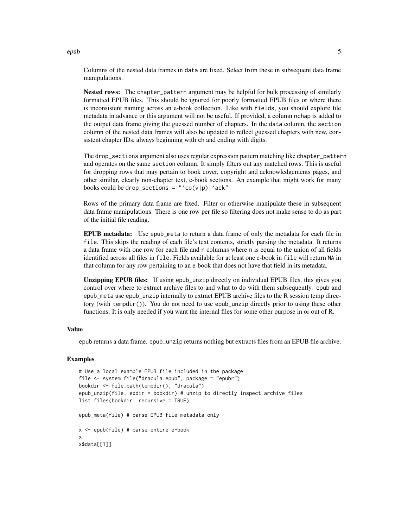Columns of the nested data frames in data are fixed. Select from these in subsequent data frame manipulations.

Nested rows: The chapter\_pattern argument may be helpful for bulk processing of similarly formatted EPUB files. This should be ignored for poorly formatted EPUB files or where there is inconsistent naming across an e-book collection. Like with fields, you should explore file metadata in advance or this argument will not be useful. If provided, a column nchap is added to the output data frame giving the guessed number of chapters. In the data column, the section column of the nested data frames will also be updated to reflect guessed chapters with new, consistent chapter IDs, always beginning with ch and ending with digits.

The drop\_sections argument also uses regular expression pattern matching like chapter\_pattern and operates on the same section column. It simply filters out any matched rows. This is useful for dropping rows that may pertain to book cover, copyright and acknowledgements pages, and other similar, clearly non-chapter text, e-book sections. An example that might work for many books could be drop\_sections =  $"$ co(v|p)|^ack"

Rows of the primary data frame are fixed. Filter or otherwise manipulate these in subsequent data frame manipulations. There is one row per file so filtering does not make sense to do as part of the initial file reading.

EPUB metadata: Use epub\_meta to return a data frame of only the metadata for each file in file. This skips the reading of each file's text contents, strictly parsing the metadata. It returns a data frame with one row for each file and n columns where n is equal to the union of all fields identified across all files in file. Fields available for at least one e-book in file will return NA in that column for any row pertaining to an e-book that does not have that field in its metadata.

Unzipping EPUB files: If using epub\_unzip directly on individual EPUB files, this gives you control over where to extract archive files to and what to do with them subsequently. epub and epub\_meta use epub\_unzip internally to extract EPUB archive files to the R session temp directory (with tempdir()). You do not need to use epub\_unzip directly prior to using these other functions. It is only needed if you want the internal files for some other purpose in or out of R.

# Value

epub returns a data frame. epub\_unzip returns nothing but extracts files from an EPUB file archive.

#### Examples

```
# Use a local example EPUB file included in the package
file <- system.file("dracula.epub", package = "epubr")
bookdir <- file.path(tempdir(), "dracula")
epub_unzip(file, exdir = bookdir) # unzip to directly inspect archive files
list.files(bookdir, recursive = TRUE)
epub_meta(file) # parse EPUB file metadata only
x <- epub(file) # parse entire e-book
x
x$data[[1]]
```
epub 5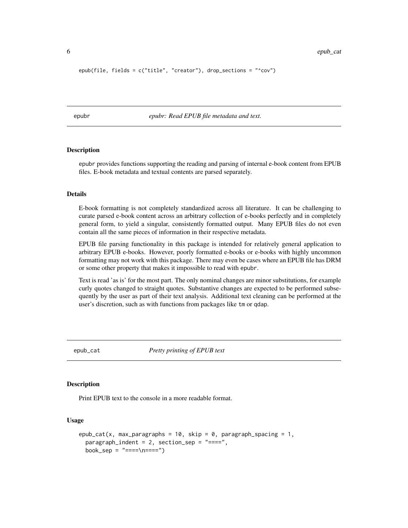```
epub(file, fields = c("title", "creator"), drop_sections = "^cov")
```
epubr *epubr: Read EPUB file metadata and text.*

# Description

epubr provides functions supporting the reading and parsing of internal e-book content from EPUB files. E-book metadata and textual contents are parsed separately.

# Details

E-book formatting is not completely standardized across all literature. It can be challenging to curate parsed e-book content across an arbitrary collection of e-books perfectly and in completely general form, to yield a singular, consistently formatted output. Many EPUB files do not even contain all the same pieces of information in their respective metadata.

EPUB file parsing functionality in this package is intended for relatively general application to arbitrary EPUB e-books. However, poorly formatted e-books or e-books with highly uncommon formatting may not work with this package. There may even be cases where an EPUB file has DRM or some other property that makes it impossible to read with epubr.

Text is read 'as is' for the most part. The only nominal changes are minor substitutions, for example curly quotes changed to straight quotes. Substantive changes are expected to be performed subsequently by the user as part of their text analysis. Additional text cleaning can be performed at the user's discretion, such as with functions from packages like tm or qdap.

<span id="page-5-1"></span>epub\_cat *Pretty printing of EPUB text*

# Description

Print EPUB text to the console in a more readable format.

#### Usage

```
epub_cat(x, max_paragraphs = 10, skip = 0, paragraph_spacing = 1,
 param<sub>param</sub> = 2, section_s = "-----",book\_sep = " ==='\\n ==='")
```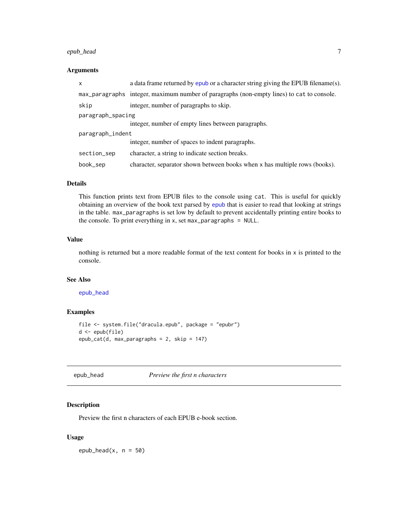# <span id="page-6-0"></span>epub\_head 7

# Arguments

| x                 | a data frame returned by epub or a character string giving the EPUB filename(s).          |  |
|-------------------|-------------------------------------------------------------------------------------------|--|
|                   | max_paragraphs integer, maximum number of paragraphs (non-empty lines) to cat to console. |  |
| skip              | integer, number of paragraphs to skip.                                                    |  |
| paragraph_spacing |                                                                                           |  |
|                   | integer, number of empty lines between paragraphs.                                        |  |
| paragraph_indent  |                                                                                           |  |
|                   | integer, number of spaces to indent paragraphs.                                           |  |
| section_sep       | character, a string to indicate section breaks.                                           |  |
| book_sep          | character, separator shown between books when x has multiple rows (books).                |  |

# Details

This function prints text from EPUB files to the console using cat. This is useful for quickly obtaining an overview of the book text parsed by [epub](#page-2-1) that is easier to read that looking at strings in the table. max\_paragraphs is set low by default to prevent accidentally printing entire books to the console. To print everything in x, set max\_paragraphs = NULL.

# Value

nothing is returned but a more readable format of the text content for books in x is printed to the console.

# See Also

# [epub\\_head](#page-6-1)

# Examples

```
file <- system.file("dracula.epub", package = "epubr")
d <- epub(file)
epub_cat(d, max_paragraphs = 2, skip = 147)
```
<span id="page-6-1"></span>epub\_head *Preview the first n characters*

#### Description

Preview the first n characters of each EPUB e-book section.

# Usage

epub\_head $(x, n = 50)$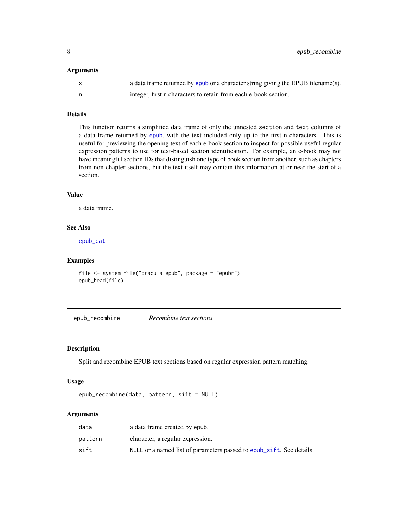#### <span id="page-7-0"></span>Arguments

|   | a data frame returned by epub or a character string giving the EPUB filename(s). |
|---|----------------------------------------------------------------------------------|
| n | integer, first n characters to retain from each e-book section.                  |

# Details

This function returns a simplified data frame of only the unnested section and text columns of a data frame returned by [epub](#page-2-1), with the text included only up to the first n characters. This is useful for previewing the opening text of each e-book section to inspect for possible useful regular expression patterns to use for text-based section identification. For example, an e-book may not have meaningful section IDs that distinguish one type of book section from another, such as chapters from non-chapter sections, but the text itself may contain this information at or near the start of a section.

# Value

a data frame.

# See Also

[epub\\_cat](#page-5-1)

# Examples

```
file <- system.file("dracula.epub", package = "epubr")
epub_head(file)
```
<span id="page-7-1"></span>epub\_recombine *Recombine text sections*

#### Description

Split and recombine EPUB text sections based on regular expression pattern matching.

#### Usage

```
epub_recombine(data, pattern, sift = NULL)
```
#### Arguments

| data    | a data frame created by epub.                                        |
|---------|----------------------------------------------------------------------|
| pattern | character, a regular expression.                                     |
| sift    | NULL or a named list of parameters passed to epub_sift. See details. |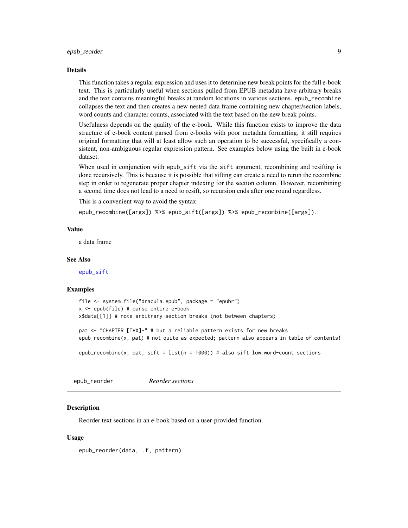#### <span id="page-8-0"></span>Details

This function takes a regular expression and uses it to determine new break points for the full e-book text. This is particularly useful when sections pulled from EPUB metadata have arbitrary breaks and the text contains meaningful breaks at random locations in various sections. epub\_recombine collapses the text and then creates a new nested data frame containing new chapter/section labels, word counts and character counts, associated with the text based on the new break points.

Usefulness depends on the quality of the e-book. While this function exists to improve the data structure of e-book content parsed from e-books with poor metadata formatting, it still requires original formatting that will at least allow such an operation to be successful, specifically a consistent, non-ambiguous regular expression pattern. See examples below using the built in e-book dataset.

When used in conjunction with epub\_sift via the sift argument, recombining and resifting is done recursively. This is because it is possible that sifting can create a need to rerun the recombine step in order to regenerate proper chapter indexing for the section column. However, recombining a second time does not lead to a need to resift, so recursion ends after one round regardless.

This is a convenient way to avoid the syntax:

epub\_recombine([args]) %>% epub\_sift([args]) %>% epub\_recombine([args]).

#### Value

a data frame

#### See Also

[epub\\_sift](#page-10-1)

#### Examples

```
file <- system.file("dracula.epub", package = "epubr")
x \leq - epub(file) # parse entire e-book
x$data[[1]] # note arbitrary section breaks (not between chapters)
```
pat <- "CHAPTER [IVX]+" # but a reliable pattern exists for new breaks epub\_recombine(x, pat) # not quite as expected; pattern also appears in table of contents!

epub\_recombine(x, pat, sift = list(n = 1000)) # also sift low word-count sections

epub\_reorder *Reorder sections*

#### **Description**

Reorder text sections in an e-book based on a user-provided function.

#### Usage

epub\_reorder(data, .f, pattern)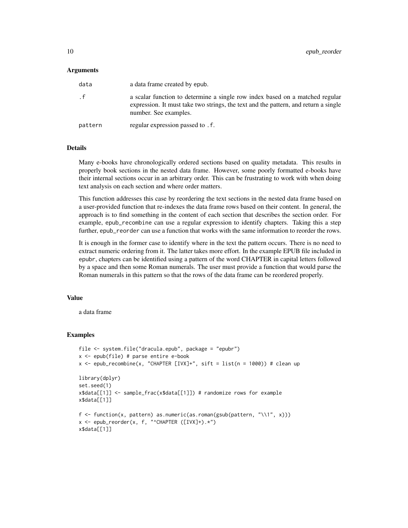#### **Arguments**

| data      | a data frame created by epub.                                                                                                                                                                |
|-----------|----------------------------------------------------------------------------------------------------------------------------------------------------------------------------------------------|
| $\cdot$ f | a scalar function to determine a single row index based on a matched regular<br>expression. It must take two strings, the text and the pattern, and return a single<br>number. See examples. |
| pattern   | regular expression passed to . f.                                                                                                                                                            |

# Details

Many e-books have chronologically ordered sections based on quality metadata. This results in properly book sections in the nested data frame. However, some poorly formatted e-books have their internal sections occur in an arbitrary order. This can be frustrating to work with when doing text analysis on each section and where order matters.

This function addresses this case by reordering the text sections in the nested data frame based on a user-provided function that re-indexes the data frame rows based on their content. In general, the approach is to find something in the content of each section that describes the section order. For example, epub\_recombine can use a regular expression to identify chapters. Taking this a step further, epub\_reorder can use a function that works with the same information to reorder the rows.

It is enough in the former case to identify where in the text the pattern occurs. There is no need to extract numeric ordering from it. The latter takes more effort. In the example EPUB file included in epubr, chapters can be identified using a pattern of the word CHAPTER in capital letters followed by a space and then some Roman numerals. The user must provide a function that would parse the Roman numerals in this pattern so that the rows of the data frame can be reordered properly.

## Value

a data frame

#### Examples

```
file <- system.file("dracula.epub", package = "epubr")
x \leq - epub(file) # parse entire e-book
x <- epub_recombine(x, "CHAPTER [IVX]+", sift = list(n = 1000)) # clean up
library(dplyr)
set.seed(1)
x$data[[1]] <- sample_frac(x$data[[1]]) # randomize rows for example
x$data[[1]]
f <- function(x, pattern) as.numeric(as.roman(gsub(pattern, "\\1", x)))
x <- epub_reorder(x, f, "^CHAPTER ([IVX]+).*")
x$data[[1]]
```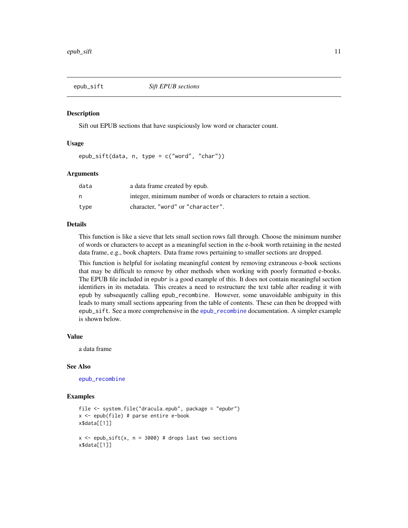<span id="page-10-1"></span><span id="page-10-0"></span>

#### Description

Sift out EPUB sections that have suspiciously low word or character count.

#### Usage

epub\_sift(data, n, type = c("word", "char"))

#### Arguments

| data | a data frame created by epub.                                       |
|------|---------------------------------------------------------------------|
| n    | integer, minimum number of words or characters to retain a section. |
| type | character. "word" or "character".                                   |

# Details

This function is like a sieve that lets small section rows fall through. Choose the minimum number of words or characters to accept as a meaningful section in the e-book worth retaining in the nested data frame, e.g., book chapters. Data frame rows pertaining to smaller sections are dropped.

This function is helpful for isolating meaningful content by removing extraneous e-book sections that may be difficult to remove by other methods when working with poorly formatted e-books. The EPUB file included in epubr is a good example of this. It does not contain meaningful section identifiers in its metadata. This creates a need to restructure the text table after reading it with epub by subsequently calling epub\_recombine. However, some unavoidable ambiguity in this leads to many small sections appearing from the table of contents. These can then be dropped with epub\_sift. See a more comprehensive in the [epub\\_recombine](#page-7-1) documentation. A simpler example is shown below.

#### Value

a data frame

# See Also

[epub\\_recombine](#page-7-1)

# Examples

```
file <- system.file("dracula.epub", package = "epubr")
x <- epub(file) # parse entire e-book
x$data[[1]]
x \leq - epub_sift(x, n = 3000) # drops last two sections
x$data[[1]]
```